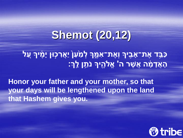## **Shemot (20,12)**

<u>ַכַּבָּ</u>ד אֶת־אָבִיךָ וְאֶת־אִמֶּךְ לְמַ<mark>ֹּעַן</mark> יַאֲרִכְוּן יָמֶיךָ עָל הָאֲדָמָ֫ה אֲשֶׁר ה' אֱלֹהִיךָּ נֹתֵן לֵֽךְ׃

Honor your father and your mother, so that your days will be lengthened upon the land that Hashem gives you.

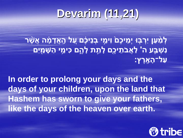# **Devarim (11,21)**

**לְ מַַּ֨ עַּ ן יִרְ בּ֤ ּו יְמ יכֶםַ֙ וִימ ֣ י בְ נ יכֶֶ֔ ם עַַּ֚ ל הָָֽ אֲדָ מֶָ֔ ה אֲשֶַ֨ ר ׁנִשְׁבָּע ה' לַאֲבֹתֵיכֶם לָתֵת לָהֶם כִּימֵי הַשָּׁמַיִם עַּ ל־הָ אָָֽ רֶ ץ׃** 

**In order to prolong your days and the days of your children, upon the land that Hashem has sworn to give your fathers, like the days of the heaven over earth.**

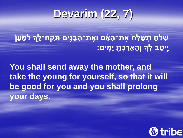### **Devarim (22, 7)**

**שַּ ל ּ֤ חַּ תְ שַּ לַּ חַ֙ אֶ ת־הָ א ֶ֔ ם וְאֶ ת־הַּ בָ נִִ֖ים תִָֽ קַָּֽ ח־לְֶָּ֑ך לְ מַַּ֙ עַּ ןַ֙ יִ֣יטַּ ב לֶָ֔ ְך וְהַּ אֲרַּ כְ תִָ֖ יָמִָֽ ים׃** 

**You shall send away the mother, and take the young for yourself, so that it will be good for you and you shall prolong your days.**

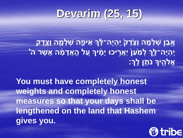#### **Devarim (25, 15)**

#### **אֶ֣ בֶ ן שְ ל מָּ֤ ה וָצֶַ֙דֶ קַ֙ יִָֽהְ יֶה־לֶָ֔ ְך א יפַָּ֧ ה שְ ל מָָ֛ ה וָצִֶ֖דֶ ק יִָֽהְ יֶה־לְֶָּ֑ך לְ מַַּ֙ עַּ ןַ֙ יַּאֲרִ֣ יכּו יָמֶֶ֔ יָך עַַּ֚ ל הָֽ ָ אֲדָ מֶָ֔ ה אֲשֶ ר ה' אֱֹלהִֶ֖ יָך נֹת ֵּ֥ ן לָָֽ ְך׃**

**You must have completely honest weights and completely honest measures so that your days shall be lengthened on the land that Hashem gives you.**